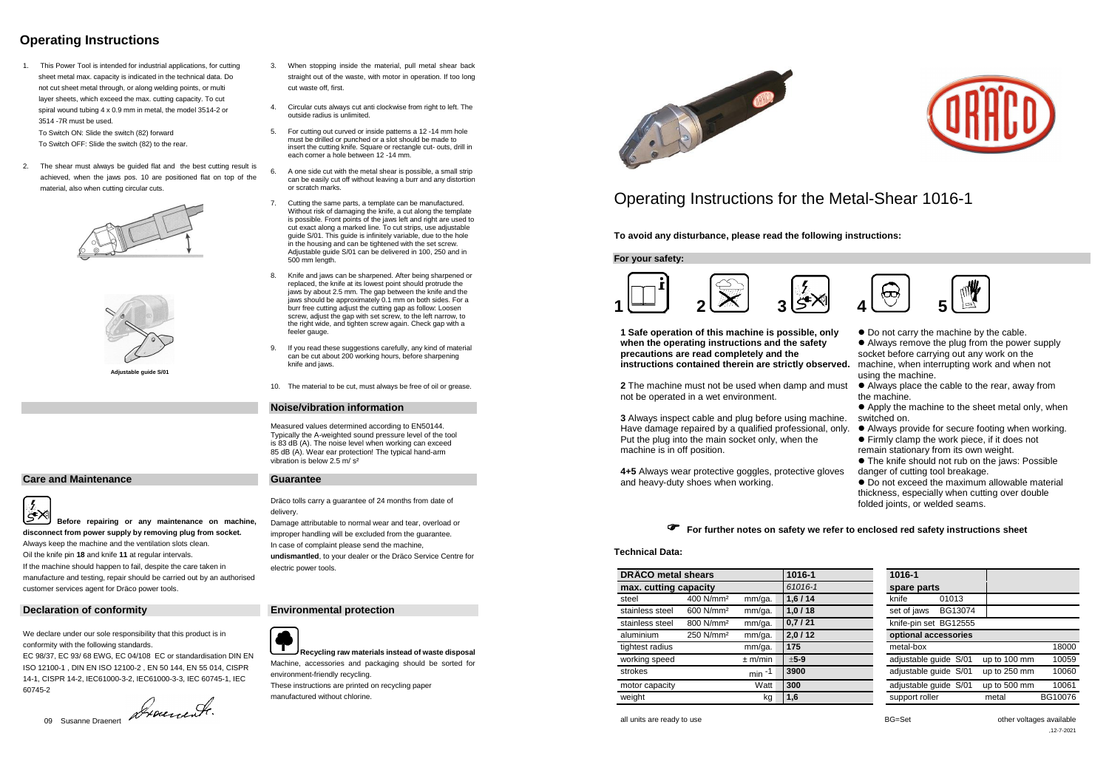# **Operating Instructions**

1. This Power Tool is intended for industrial applications, for cutting sheet metal max. capacity is indicated in the technical data. Do not cut sheet metal through, or along welding points, or multi layer sheets, which exceed the max. cutting capacity. To cut spiral wound tubing 4 x 0.9 mm in metal, the model 3514-2 or 3514 -7R must be used.

To Switch ON: Slide the switch (82) forward

To Switch OFF: Slide the switch (82) to the rear.

2. The shear must always be guided flat and the best cutting result is achieved, when the jaws pos. 10 are positioned flat on top of the material, also when cutting circular cuts.





**Adjustable guide S/01**

## **Care and Maintenance Guarantee**

- 3. When stopping inside the material, pull metal shear back straight out of the waste, with motor in operation. If too long cut waste off, first.
- 4. Circular cuts always cut anti clockwise from right to left. The outside radius is unlimited.
- 5. For cutting out curved or inside patterns a 12 -14 mm hole must be drilled or punched or a slot should be made to insert the cutting knife. Square or rectangle cut- outs, drill in each corner a hole between 12 -14 mm.
- 6. A one side cut with the metal shear is possible, a small strip can be easily cut off without leaving a burr and any distortion or scratch marks.
- 7. Cutting the same parts, a template can be manufactured. Without risk of damaging the knife, a cut along the template is possible. Front points of the jaws left and right are used to cut exact along a marked line. To cut strips, use adjustable guide S/01. This guide is infinitely variable, due to the hole in the housing and can be tightened with the set screw. Adjustable guide S/01 can be delivered in 100, 250 and in 500 mm length.
- 8. Knife and jaws can be sharpened. After being sharpened or replaced, the knife at its lowest point should protrude the jaws by about 2.5 mm. The gap between the knife and the jaws should be approximately 0.1 mm on both sides. For a burr free cutting adjust the cutting gap as follow: Loosen screw, adjust the gap with set screw, to the left narrow, to the right wide, and tighten screw again. Check gap with a feeler gauge.
- 9. If you read these suggestions carefully, any kind of material can be cut about 200 working hours, before sharpening knife and jaws.

|∛>∑ **Before repairing or any maintenance on machine, disconnect from power supply by removing plug from socket.** Always keep the machine and the ventilation slots clean. Oil the knife pin **18** and knife **11** at regular intervals. If the machine should happen to fail, despite the care taken in manufacture and testing, repair should be carried out by an authorised customer services agent for Dräco power tools.

## **Declaration of conformity Environmental protection**

**1 Safe operation of this machine is possible, only when the operating instructions and the safety precautions are read completely and the**  instructions contained therein are strictly observ

**2** The machine must not be used when damp and m not be operated in a wet environment.

**3** Always inspect cable and plug before using machine. Have damage repaired by a qualified professional, on Put the plug into the main socket only, when the machine is in off position.

10. The material to be cut, must always be free of oil or grease.

### **Noise/vibration information**

Measured values determined according to EN50144. Typically the A-weighted sound pressure level of the tool is 83 dB (A). The noise level when working can exceed 85 dB (A). Wear ear protection! The typical hand-arm vibration is below 2.5 m/ s²

Dräco tolls carry a guarantee of 24 months from date of delivery.

Damage attributable to normal wear and tear, overload or improper handling will be excluded from the guarantee. In case of complaint please send the machine, **undismantled**, to your dealer or the Dräco Service Centre for electric power tools.



We declare under our sole responsibility that this product is in conformity with the following standards.

EC 98/37, EC 93/ 68 EWG, EC 04/108 EC or standardisation DIN EN ISO 12100-1 , DIN EN ISO 12100-2 , EN 50 144, EN 55 014, CISPR 14-1, CISPR 14-2, IEC61000-3-2, IEC61000-3-3, IEC 60745-1, IEC 60745-2

09 Susanne Draenert 2000 en eeu fr.

**Recycling raw materials instead of waste disposal**

Machine, accessories and packaging should be sorted for environment-friendly recycling. These instructions are printed on recycling paper manufactured without chlorine.



# Operating Instructions for the Metal-Shear 1016-1

**To avoid any disturbance, please read the following instructions:**

**For your safety:**



**4+5** Always wear protective goggles, protective gloves and heavy-duty shoes when working.

|      | • Do not carry the machine by the cable.<br>• Always remove the plug from the power supply |
|------|--------------------------------------------------------------------------------------------|
|      | socket before carrying out any work on the                                                 |
| ed.  | machine, when interrupting work and when not<br>using the machine.                         |
| ust  | • Always place the cable to the rear, away from                                            |
|      | the machine.                                                                               |
|      | • Apply the machine to the sheet metal only, when                                          |
| ne.  | switched on.                                                                               |
| nly. | • Always provide for secure footing when working.                                          |
|      | • Firmly clamp the work piece, if it does not                                              |
|      | remain stationary from its own weight.                                                     |
|      | • The knife should not rub on the jaws: Possible                                           |
| es   | danger of cutting tool breakage.                                                           |
|      | • Do not exceed the maximum allowable material                                             |
|      | thickness, especially when cutting over double                                             |

folded joints, or welded seams.



### **Technical Data:**

| <b>DRÄCO</b> metal shears |                       |             | 1016-1  | 1016-1                  |                       |
|---------------------------|-----------------------|-------------|---------|-------------------------|-----------------------|
| max. cutting capacity     |                       |             | 61016-1 | spare parts             |                       |
| steel                     | 400 N/mm <sup>2</sup> | mm/ga.      | 1,6/14  | 01013<br>knife          |                       |
| stainless steel           | 600 N/mm <sup>2</sup> | mm/ga.      | 1,0/18  | BG13074<br>set of jaws  |                       |
| stainless steel           | 800 N/mm <sup>2</sup> | mm/ga.      | 0,7/21  | knife-pin set BG12555   |                       |
| aluminium                 | 250 N/mm <sup>2</sup> | mm/ga.      | 2,0/12  | optional accessories    |                       |
| tightest radius           |                       | mm/ga.      | 175     | metal-box               | 18000                 |
| working speed             |                       | $\pm$ m/min | $±5-9$  | adjustable guide S/01   | up to 100 mm<br>10059 |
| strokes                   |                       | min $-1$    | 3900    | adjustable guide S/01   | up to 250 mm<br>10060 |
| motor capacity            |                       | Watt        | 300     | adjustable guide S/01   | up to 500 mm<br>10061 |
| weight                    |                       | kg          | 1,6     | support roller<br>metal | BG10076               |

all units are ready to use **by a struck of the set of the set of the set of the voltages available** and  $BG = Set$  other voltages available